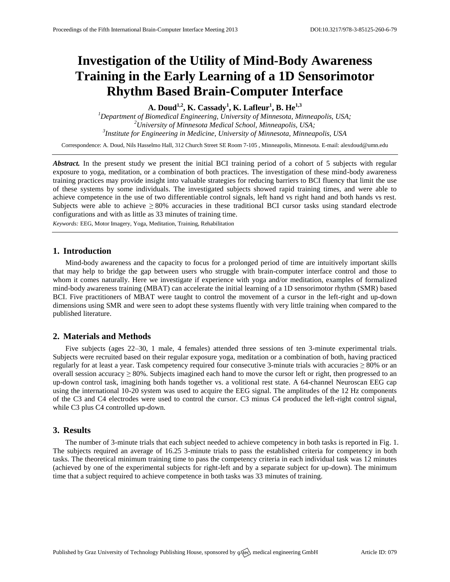# **Investigation of the Utility of Mind-Body Awareness Training in the Early Learning of a 1D Sensorimotor Rhythm Based Brain-Computer Interface**

**A. Doud1,2 , K. Cassady<sup>1</sup> , K. Lafleur<sup>1</sup> , B. He1,3**

*<sup>1</sup>Department of Biomedical Engineering, University of Minnesota, Minneapolis, USA; <sup>2</sup>University of Minnesota Medical School, Minneapolis, USA; 3 Institute for Engineering in Medicine, University of Minnesota, Minneapolis, USA*

Correspondence: A. Doud, Nils Hasselmo Hall, 312 Church Street SE Room 7-105 , Minneapolis, Minnesota. E-mail[: alexdoud@umn.edu](mailto:alexdoud@umn.edu)

*Abstract.* In the present study we present the initial BCI training period of a cohort of 5 subjects with regular exposure to yoga, meditation, or a combination of both practices. The investigation of these mind-body awareness training practices may provide insight into valuable strategies for reducing barriers to BCI fluency that limit the use of these systems by some individuals. The investigated subjects showed rapid training times, and were able to achieve competence in the use of two differentiable control signals, left hand vs right hand and both hands vs rest. Subjects were able to achieve  $\geq 80\%$  accuracies in these traditional BCI cursor tasks using standard electrode configurations and with as little as 33 minutes of training time.

*Keywords:* EEG, Motor Imagery, Yoga, Meditation, Training, Rehabilitation

### **1. Introduction**

Mind-body awareness and the capacity to focus for a prolonged period of time are intuitively important skills that may help to bridge the gap between users who struggle with brain-computer interface control and those to whom it comes naturally. Here we investigate if experience with yoga and/or meditation, examples of formalized mind-body awareness training (MBAT) can accelerate the initial learning of a 1D sensorimotor rhythm (SMR) based BCI. Five practitioners of MBAT were taught to control the movement of a cursor in the left-right and up-down dimensions using SMR and were seen to adopt these systems fluently with very little training when compared to the published literature.

## **2. Materials and Methods**

Five subjects (ages 22–30, 1 male, 4 females) attended three sessions of ten 3-minute experimental trials. Subjects were recruited based on their regular exposure yoga, meditation or a combination of both, having practiced regularly for at least a year. Task competency required four consecutive 3-minute trials with accuracies  $\geq 80\%$  or an overall session accuracy  $\geq 80\%$ . Subjects imagined each hand to move the cursor left or right, then progressed to an up-down control task, imagining both hands together vs. a volitional rest state. A 64-channel Neuroscan EEG cap using the international 10-20 system was used to acquire the EEG signal. The amplitudes of the 12 Hz components of the C3 and C4 electrodes were used to control the cursor. C3 minus C4 produced the left-right control signal, while C3 plus C4 controlled up-down.

### **3. Results**

The number of 3-minute trials that each subject needed to achieve competency in both tasks is reported in Fig. 1. The subjects required an average of 16.25 3-minute trials to pass the established criteria for competency in both tasks. The theoretical minimum training time to pass the competency criteria in each individual task was 12 minutes (achieved by one of the experimental subjects for right-left and by a separate subject for up-down). The minimum time that a subject required to achieve competence in both tasks was 33 minutes of training.